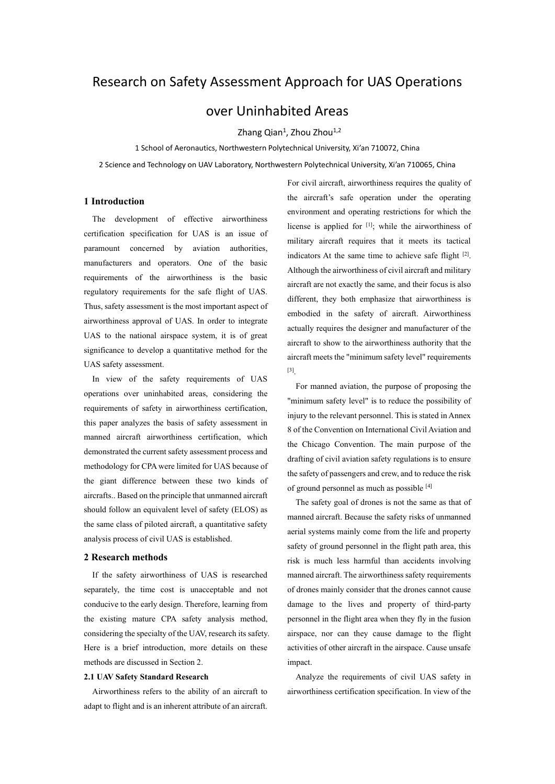# Research on Safety Assessment Approach for UAS Operations

# over Uninhabited Areas

Zhang Qian<sup>1</sup>, Zhou Zhou<sup>1,2</sup>

1 School of Aeronautics, Northwestern Polytechnical University, Xi'an 710072, China

2 Science and Technology on UAV Laboratory, Northwestern Polytechnical University, Xi'an 710065, China

# **1 Introduction**

The development of effective airworthiness certification specification for UAS is an issue of paramount concerned by aviation authorities, manufacturers and operators. One of the basic requirements of the airworthiness is the basic regulatory requirements for the safe flight of UAS. Thus, safety assessment is the most important aspect of airworthiness approval of UAS. In order to integrate UAS to the national airspace system, it is of great significance to develop a quantitative method for the UAS safety assessment.

In view of the safety requirements of UAS operations over uninhabited areas, considering the requirements of safety in airworthiness certification, this paper analyzes the basis of safety assessment in manned aircraft airworthiness certification, which demonstrated the current safety assessment process and methodology for CPA were limited for UAS because of the giant difference between these two kinds of aircrafts.. Based on the principle that unmanned aircraft should follow an equivalent level of safety (ELOS) as the same class of piloted aircraft, a quantitative safety analysis process of civil UAS is established.

## **2 Research methods**

If the safety airworthiness of UAS is researched separately, the time cost is unacceptable and not conducive to the early design. Therefore, learning from the existing mature CPA safety analysis method, considering the specialty of the UAV, research its safety. Here is a brief introduction, more details on these methods are discussed in Section 2.

# **2.1 UAV Safety Standard Research**

Airworthiness refers to the ability of an aircraft to adapt to flight and is an inherent attribute of an aircraft. For civil aircraft, airworthiness requires the quality of the aircraft's safe operation under the operating environment and operating restrictions for which the license is applied for  $[1]$ ; while the airworthiness of military aircraft requires that it meets its tactical indicators At the same time to achieve safe flight  $[2]$ . Although the airworthiness of civil aircraft and military aircraft are not exactly the same, and their focus is also different, they both emphasize that airworthiness is embodied in the safety of aircraft. Airworthiness actually requires the designer and manufacturer of the aircraft to show to the airworthiness authority that the aircraft meets the "minimum safety level" requirements [3] .

For manned aviation, the purpose of proposing the "minimum safety level" is to reduce the possibility of injury to the relevant personnel. This is stated in Annex 8 of the Convention on International Civil Aviation and the Chicago Convention. The main purpose of the drafting of civil aviation safety regulations is to ensure the safety of passengers and crew, and to reduce the risk of ground personnel as much as possible [4]

The safety goal of drones is not the same as that of manned aircraft. Because the safety risks of unmanned aerial systems mainly come from the life and property safety of ground personnel in the flight path area, this risk is much less harmful than accidents involving manned aircraft. The airworthiness safety requirements of drones mainly consider that the drones cannot cause damage to the lives and property of third-party personnel in the flight area when they fly in the fusion airspace, nor can they cause damage to the flight activities of other aircraft in the airspace. Cause unsafe impact.

Analyze the requirements of civil UAS safety in airworthiness certification specification. In view of the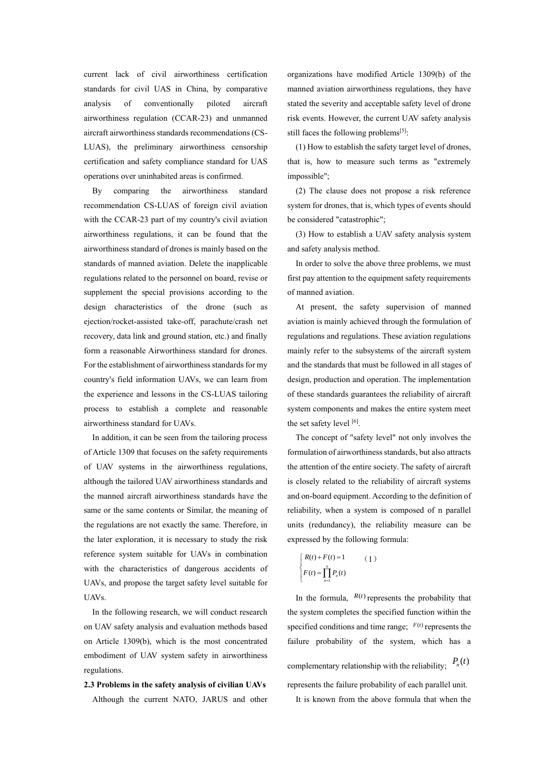current lack of civil airworthiness certification standards for civil UAS in China, by comparative analysis of conventionally piloted aircraft airworthiness regulation (CCAR-23) and unmanned aircraft airworthiness standards recommendations (CS-LUAS), the preliminary airworthiness censorship certification and safety compliance standard for UAS operations over uninhabited areas is confirmed.

By comparing the airworthiness standard recommendation CS-LUAS of foreign civil aviation with the CCAR-23 part of my country's civil aviation airworthiness regulations, it can be found that the airworthiness standard of drones is mainly based on the standards of manned aviation. Delete the inapplicable regulations related to the personnel on board, revise or supplement the special provisions according to the design characteristics of the drone (such as ejection/rocket-assisted take-off, parachute/crash net recovery, data link and ground station, etc.) and finally form a reasonable Airworthiness standard for drones. For the establishment of airworthiness standards for my country's field information UAVs, we can learn from the experience and lessons in the CS-LUAS tailoring process to establish a complete and reasonable airworthiness standard for UAVs.

In addition, it can be seen from the tailoring process of Article 1309 that focuses on the safety requirements of UAV systems in the airworthiness regulations, although the tailored UAV airworthiness standards and the manned aircraft airworthiness standards have the same or the same contents or Similar, the meaning of the regulations are not exactly the same. Therefore, in the later exploration, it is necessary to study the risk reference system suitable for UAVs in combination with the characteristics of dangerous accidents of UAVs, and propose the target safety level suitable for UAVs.

In the following research, we will conduct research on UAV safety analysis and evaluation methods based on Article 1309(b), which is the most concentrated embodiment of UAV system safety in airworthiness regulations.

**2.3 Problems in the safety analysis of civilian UAVs** Although the current NATO, JARUS and other organizations have modified Article 1309(b) of the manned aviation airworthiness regulations, they have stated the severity and acceptable safety level of drone risk events. However, the current UAV safety analysis still faces the following problems<sup>[5]</sup>:

(1) How to establish the safety target level of drones, that is, how to measure such terms as "extremely impossible";

(2) The clause does not propose a risk reference system for drones, that is, which types of events should be considered "catastrophic";

(3) How to establish a UAV safety analysis system and safety analysis method.

In order to solve the above three problems, we must first pay attention to the equipment safety requirements of manned aviation.

At present, the safety supervision of manned aviation is mainly achieved through the formulation of regulations and regulations. These aviation regulations mainly refer to the subsystems of the aircraft system and the standards that must be followed in all stages of design, production and operation. The implementation of these standards guarantees the reliability of aircraft system components and makes the entire system meet the set safety level [6].

The concept of "safety level" not only involves the formulation of airworthiness standards, but also attracts the attention of the entire society. The safety of aircraft is closely related to the reliability of aircraft systems and on-board equipment. According to the definition of reliability, when a system is composed of n parallel units (redundancy), the reliability measure can be expressed by the following formula:

$$
\begin{cases}\nR(t) + F(t) = 1 & (1) \\
F(t) = \prod_{n=1}^{n} P_n(t)\n\end{cases}
$$

In the formula,  $R(t)$  represents the probability that the system completes the specified function within the specified conditions and time range;  $F(t)$  represents the failure probability of the system, which has a complementary relationship with the reliability;  $P_n(t)$ represents the failure probability of each parallel unit. It is known from the above formula that when the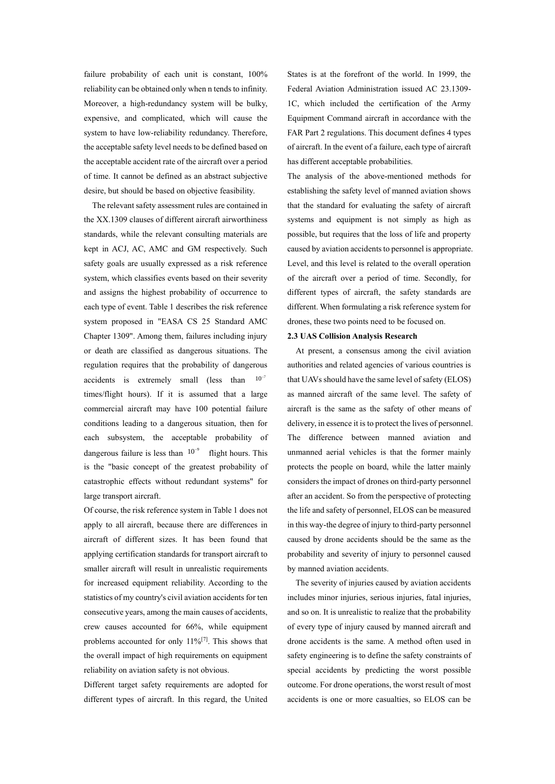failure probability of each unit is constant, 100% reliability can be obtained only when n tends to infinity. Moreover, a high-redundancy system will be bulky, expensive, and complicated, which will cause the system to have low-reliability redundancy. Therefore, the acceptable safety level needs to be defined based on the acceptable accident rate of the aircraft over a period of time. It cannot be defined as an abstract subjective desire, but should be based on objective feasibility.

The relevant safety assessment rules are contained in the XX.1309 clauses of different aircraft airworthiness standards, while the relevant consulting materials are kept in ACJ, AC, AMC and GM respectively. Such safety goals are usually expressed as a risk reference system, which classifies events based on their severity and assigns the highest probability of occurrence to each type of event. Table 1 describes the risk reference system proposed in "EASA CS 25 Standard AMC Chapter 1309". Among them, failures including injury or death are classified as dangerous situations. The regulation requires that the probability of dangerous accidents is extremely small (less than times/flight hours). If it is assumed that a large commercial aircraft may have 100 potential failure conditions leading to a dangerous situation, then for each subsystem, the acceptable probability of dangerous failure is less than  $10^{-9}$  flight hours. This is the "basic concept of the greatest probability of catastrophic effects without redundant systems" for large transport aircraft.  $10^{-7}$ 

Of course, the risk reference system in Table 1 does not apply to all aircraft, because there are differences in aircraft of different sizes. It has been found that applying certification standards for transport aircraft to smaller aircraft will result in unrealistic requirements for increased equipment reliability. According to the statistics of my country's civil aviation accidents for ten consecutive years, among the main causes of accidents, crew causes accounted for 66%, while equipment problems accounted for only  $11\%$ <sup>[7]</sup>. This shows that the overall impact of high requirements on equipment reliability on aviation safety is not obvious.

Different target safety requirements are adopted for different types of aircraft. In this regard, the United States is at the forefront of the world. In 1999, the Federal Aviation Administration issued AC 23.1309- 1C, which included the certification of the Army Equipment Command aircraft in accordance with the FAR Part 2 regulations. This document defines 4 types of aircraft. In the event of a failure, each type of aircraft has different acceptable probabilities.

The analysis of the above-mentioned methods for establishing the safety level of manned aviation shows that the standard for evaluating the safety of aircraft systems and equipment is not simply as high as possible, but requires that the loss of life and property caused by aviation accidents to personnel is appropriate. Level, and this level is related to the overall operation of the aircraft over a period of time. Secondly, for different types of aircraft, the safety standards are different. When formulating a risk reference system for drones, these two points need to be focused on.

#### **2.3 UAS Collision Analysis Research**

At present, a consensus among the civil aviation authorities and related agencies of various countries is that UAVs should have the same level of safety (ELOS) as manned aircraft of the same level. The safety of aircraft is the same as the safety of other means of delivery, in essence it is to protect the lives of personnel. The difference between manned aviation and unmanned aerial vehicles is that the former mainly protects the people on board, while the latter mainly considers the impact of drones on third-party personnel after an accident. So from the perspective of protecting the life and safety of personnel, ELOS can be measured in this way-the degree of injury to third-party personnel caused by drone accidents should be the same as the probability and severity of injury to personnel caused by manned aviation accidents.

The severity of injuries caused by aviation accidents includes minor injuries, serious injuries, fatal injuries, and so on. It is unrealistic to realize that the probability of every type of injury caused by manned aircraft and drone accidents is the same. A method often used in safety engineering is to define the safety constraints of special accidents by predicting the worst possible outcome. For drone operations, the worst result of most accidents is one or more casualties, so ELOS can be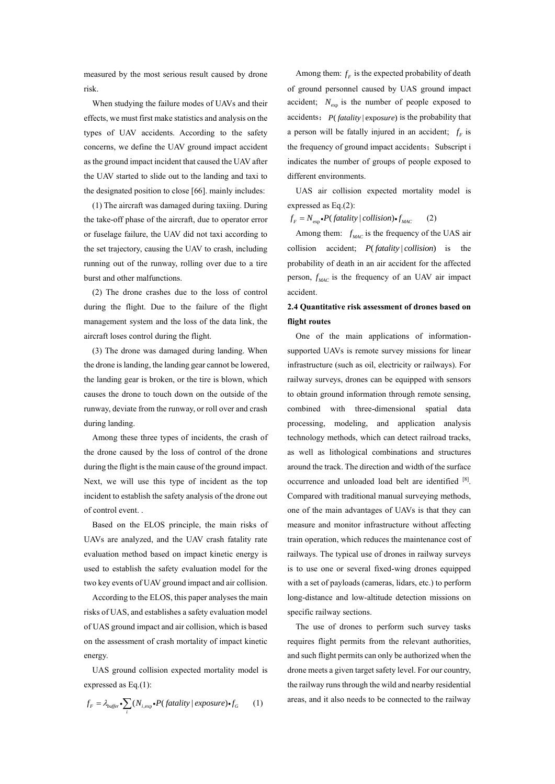measured by the most serious result caused by drone risk.

When studying the failure modes of UAVs and their effects, we must first make statistics and analysis on the types of UAV accidents. According to the safety concerns, we define the UAV ground impact accident as the ground impact incident that caused the UAV after the UAV started to slide out to the landing and taxi to the designated position to close [66]. mainly includes:

(1) The aircraft was damaged during taxiing. During the take-off phase of the aircraft, due to operator error or fuselage failure, the UAV did not taxi according to the set trajectory, causing the UAV to crash, including running out of the runway, rolling over due to a tire burst and other malfunctions.

(2) The drone crashes due to the loss of control during the flight. Due to the failure of the flight management system and the loss of the data link, the aircraft loses control during the flight.

(3) The drone was damaged during landing. When the drone is landing, the landing gear cannot be lowered, the landing gear is broken, or the tire is blown, which causes the drone to touch down on the outside of the runway, deviate from the runway, or roll over and crash during landing.

Among these three types of incidents, the crash of the drone caused by the loss of control of the drone during the flight is the main cause of the ground impact. Next, we will use this type of incident as the top incident to establish the safety analysis of the drone out of control event. .

Based on the ELOS principle, the main risks of UAVs are analyzed, and the UAV crash fatality rate evaluation method based on impact kinetic energy is used to establish the safety evaluation model for the two key events of UAV ground impact and air collision.

According to the ELOS, this paper analyses the main risks of UAS, and establishes a safety evaluation model of UAS ground impact and air collision, which is based on the assessment of crash mortality of impact kinetic energy.

UAS ground collision expected mortality model is expressed as Eq.(1):

$$
f_F = \lambda_{buffer} \cdot \sum_i (N_{i,exp} \cdot P(fatality \mid exposure) \cdot f_G \tag{1}
$$

Among them:  $f_F$  is the expected probability of death of ground personnel caused by UAS ground impact accident;  $N_{\text{exp}}$  is the number of people exposed to accidents;  $P(fatality | exposure)$  is the probability that a person will be fatally injured in an accident;  $f<sub>F</sub>$  is the frequency of ground impact accidents; Subscript i indicates the number of groups of people exposed to different environments.

UAS air collision expected mortality model is expressed as Eq.(2):

 $f_F = N_{\text{exp}} \cdot P(f \text{atality} \mid collision) \cdot f_{\text{MAC}}$  (2)

Among them:  $f_{MAC}$  is the frequency of the UAS air collision accident;  $P(fatality | collision)$  is the probability of death in an air accident for the affected person,  $f_{MAC}$  is the frequency of an UAV air impact accident.

# **2.4 Quantitative risk assessment of drones based on flight routes**

One of the main applications of informationsupported UAVs is remote survey missions for linear infrastructure (such as oil, electricity or railways). For railway surveys, drones can be equipped with sensors to obtain ground information through remote sensing, combined with three-dimensional spatial data processing, modeling, and application analysis technology methods, which can detect railroad tracks, as well as lithological combinations and structures around the track. The direction and width of the surface occurrence and unloaded load belt are identified [8]. Compared with traditional manual surveying methods, one of the main advantages of UAVs is that they can measure and monitor infrastructure without affecting train operation, which reduces the maintenance cost of railways. The typical use of drones in railway surveys is to use one or several fixed-wing drones equipped with a set of payloads (cameras, lidars, etc.) to perform long-distance and low-altitude detection missions on specific railway sections.

The use of drones to perform such survey tasks requires flight permits from the relevant authorities, and such flight permits can only be authorized when the drone meets a given target safety level. For our country, the railway runs through the wild and nearby residential areas, and it also needs to be connected to the railway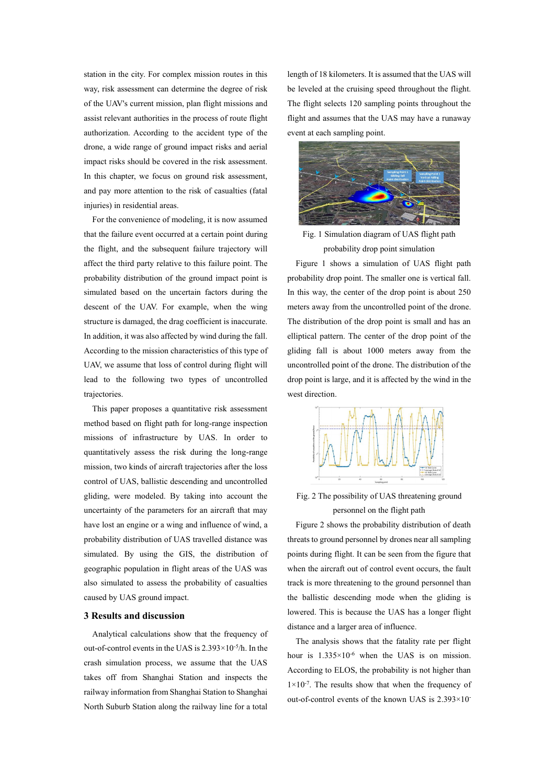station in the city. For complex mission routes in this way, risk assessment can determine the degree of risk of the UAV's current mission, plan flight missions and assist relevant authorities in the process of route flight authorization. According to the accident type of the drone, a wide range of ground impact risks and aerial impact risks should be covered in the risk assessment. In this chapter, we focus on ground risk assessment, and pay more attention to the risk of casualties (fatal injuries) in residential areas.

For the convenience of modeling, it is now assumed that the failure event occurred at a certain point during the flight, and the subsequent failure trajectory will affect the third party relative to this failure point. The probability distribution of the ground impact point is simulated based on the uncertain factors during the descent of the UAV. For example, when the wing structure is damaged, the drag coefficient is inaccurate. In addition, it was also affected by wind during the fall. According to the mission characteristics of this type of UAV, we assume that loss of control during flight will lead to the following two types of uncontrolled trajectories.

This paper proposes a quantitative risk assessment method based on flight path for long-range inspection missions of infrastructure by UAS. In order to quantitatively assess the risk during the long-range mission, two kinds of aircraft trajectories after the loss control of UAS, ballistic descending and uncontrolled gliding, were modeled. By taking into account the uncertainty of the parameters for an aircraft that may have lost an engine or a wing and influence of wind, a probability distribution of UAS travelled distance was simulated. By using the GIS, the distribution of geographic population in flight areas of the UAS was also simulated to assess the probability of casualties caused by UAS ground impact.

#### **3 Results and discussion**

Analytical calculations show that the frequency of out-of-control events in the UAS is 2.393×10-5 /h. In the crash simulation process, we assume that the UAS takes off from Shanghai Station and inspects the railway information from Shanghai Station to Shanghai North Suburb Station along the railway line for a total

length of 18 kilometers. It is assumed that the UAS will be leveled at the cruising speed throughout the flight. The flight selects 120 sampling points throughout the flight and assumes that the UAS may have a runaway event at each sampling point.



Fig. 1 Simulation diagram of UAS flight path probability drop point simulation

Figure 1 shows a simulation of UAS flight path probability drop point. The smaller one is vertical fall. In this way, the center of the drop point is about 250 meters away from the uncontrolled point of the drone. The distribution of the drop point is small and has an elliptical pattern. The center of the drop point of the gliding fall is about 1000 meters away from the uncontrolled point of the drone. The distribution of the drop point is large, and it is affected by the wind in the west direction.



Fig. 2 The possibility of UAS threatening ground personnel on the flight path

Figure 2 shows the probability distribution of death threats to ground personnel by drones near all sampling points during flight. It can be seen from the figure that when the aircraft out of control event occurs, the fault track is more threatening to the ground personnel than the ballistic descending mode when the gliding is lowered. This is because the UAS has a longer flight distance and a larger area of influence.

The analysis shows that the fatality rate per flight hour is  $1.335 \times 10^{-6}$  when the UAS is on mission. According to ELOS, the probability is not higher than  $1 \times 10^{-7}$ . The results show that when the frequency of out-of-control events of the known UAS is 2.393×10-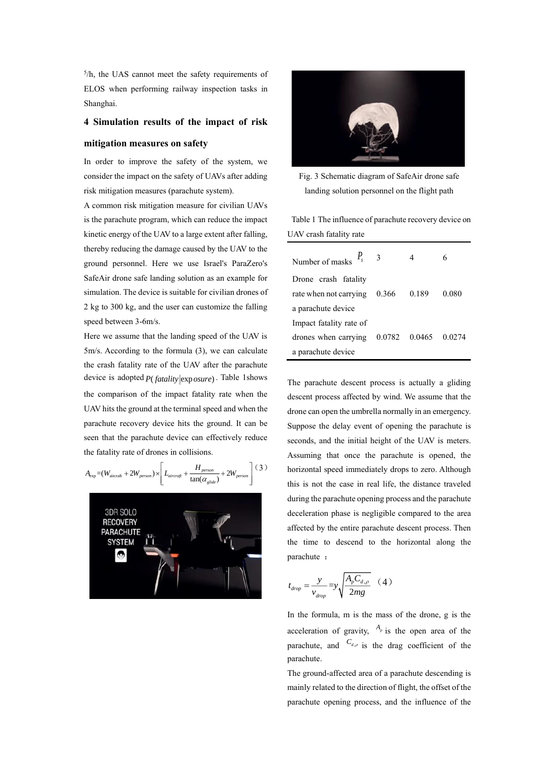5 /h, the UAS cannot meet the safety requirements of ELOS when performing railway inspection tasks in Shanghai.

### **4 Simulation results of the impact of risk**

#### **mitigation measures on safety**

In order to improve the safety of the system, we consider the impact on the safety of UAVs after adding risk mitigation measures (parachute system).

A common risk mitigation measure for civilian UAVs is the parachute program, which can reduce the impact kinetic energy of the UAV to a large extent after falling, thereby reducing the damage caused by the UAV to the ground personnel. Here we use Israel's ParaZero's SafeAir drone safe landing solution as an example for simulation. The device is suitable for civilian drones of 2 kg to 300 kg, and the user can customize the falling speed between 3-6m/s.

Here we assume that the landing speed of the UAV is 5m/s. According to the formula (3), we can calculate the crash fatality rate of the UAV after the parachute device is adopted  $P(fatality | exposure)$ . Table 1shows the comparison of the impact fatality rate when the UAV hits the ground at the terminal speed and when the parachute recovery device hits the ground. It can be seen that the parachute device can effectively reduce the fatality rate of drones in collisions.

$$
A_{\exp} = (W_{\text{aircarft}} + 2W_{person}) \times \left[ L_{\text{aircraft}} + \frac{H_{person}}{\tan(\alpha_{\text{gilde}})} + 2W_{person} \right] (3)
$$





Fig. 3 Schematic diagram of SafeAir drone safe landing solution personnel on the flight path

Table 1 The influence of parachute recovery device on UAV crash fatality rate

| Number of masks               | - 3   |        |        |
|-------------------------------|-------|--------|--------|
| Drone crash fatality          |       |        |        |
| rate when not carrying        | 0.366 | 0.189  | 0.080  |
| a parachute device            |       |        |        |
| Impact fatality rate of       |       |        |        |
| drones when carrying $0.0782$ |       | 0.0465 | 0.0274 |
| a parachute device            |       |        |        |

The parachute descent process is actually a gliding descent process affected by wind. We assume that the drone can open the umbrella normally in an emergency. Suppose the delay event of opening the parachute is seconds, and the initial height of the UAV is meters. Assuming that once the parachute is opened, the horizontal speed immediately drops to zero. Although this is not the case in real life, the distance traveled during the parachute opening process and the parachute deceleration phase is negligible compared to the area affected by the entire parachute descent process. Then the time to descend to the horizontal along the parachute :

$$
t_{drop} = \frac{y}{v_{drop}} = y \sqrt{\frac{A_p C_{d,p}}{2mg}} \quad (4)
$$

In the formula, m is the mass of the drone, g is the acceleration of gravity,  $A_p$  is the open area of the parachute, and  $C_{d,p}$  is the drag coefficient of the parachute.

The ground-affected area of a parachute descending is mainly related to the direction of flight, the offset of the parachute opening process, and the influence of the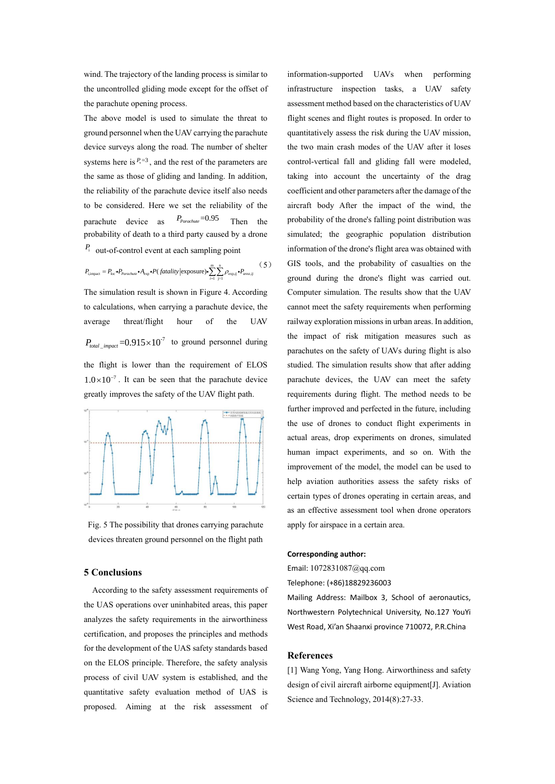wind. The trajectory of the landing process is similar to the uncontrolled gliding mode except for the offset of the parachute opening process.

The above model is used to simulate the threat to ground personnel when the UAV carrying the parachute device surveys along the road. The number of shelter systems here is  $P_s = 3$ , and the rest of the parameters are the same as those of gliding and landing. In addition, the reliability of the parachute device itself also needs to be considered. Here we set the reliability of the parachute device as =0.95 *PParachute* Then the probability of death to a third party caused by a drone *P*i out-of-control event at each sampling point

$$
P_{\text{impart}} = P_{\text{loc}} \cdot P_{\text{parameter}} \cdot A_{\text{exp}} \cdot P(\text{fatality} | \text{exposure}) \cdot \sum_{i=1}^{m} \sum_{j=1}^{n} \rho_{\text{exp},ij} \cdot P_{\text{area},ij} \tag{5}
$$

The simulation result is shown in Figure 4. According to calculations, when carrying a parachute device, the average threat/flight hour of the UAV  $P_{total\_impact}$  = 0.915 × 10<sup>-7</sup> to ground personnel during the flight is lower than the requirement of ELOS  $1.0 \times 10^{-7}$ . It can be seen that the parachute device greatly improves the safety of the UAV flight path.



Fig. 5 The possibility that drones carrying parachute devices threaten ground personnel on the flight path

#### **5 Conclusions**

According to the safety assessment requirements of the UAS operations over uninhabited areas, this paper analyzes the safety requirements in the airworthiness certification, and proposes the principles and methods for the development of the UAS safety standards based on the ELOS principle. Therefore, the safety analysis process of civil UAV system is established, and the quantitative safety evaluation method of UAS is proposed. Aiming at the risk assessment of information-supported UAVs when performing infrastructure inspection tasks, a UAV safety assessment method based on the characteristics of UAV flight scenes and flight routes is proposed. In order to quantitatively assess the risk during the UAV mission, the two main crash modes of the UAV after it loses control-vertical fall and gliding fall were modeled, taking into account the uncertainty of the drag coefficient and other parameters after the damage of the aircraft body After the impact of the wind, the probability of the drone's falling point distribution was simulated; the geographic population distribution information of the drone's flight area was obtained with GIS tools, and the probability of casualties on the ground during the drone's flight was carried out. Computer simulation. The results show that the UAV cannot meet the safety requirements when performing railway exploration missions in urban areas. In addition, the impact of risk mitigation measures such as parachutes on the safety of UAVs during flight is also studied. The simulation results show that after adding parachute devices, the UAV can meet the safety requirements during flight. The method needs to be further improved and perfected in the future, including the use of drones to conduct flight experiments in actual areas, drop experiments on drones, simulated human impact experiments, and so on. With the improvement of the model, the model can be used to help aviation authorities assess the safety risks of certain types of drones operating in certain areas, and as an effective assessment tool when drone operators apply for airspace in a certain area.

# **Corresponding author:**

Email: 1072831087@qq.com Telephone: (+86)18829236003

Mailing Address: Mailbox 3, School of aeronautics, Northwestern Polytechnical University, No.127 YouYi West Road, Xi'an Shaanxi province 710072, P.R.China

# **References**

[1] Wang Yong, Yang Hong. Airworthiness and safety design of civil aircraft airborne equipment[J]. Aviation Science and Technology, 2014(8):27-33.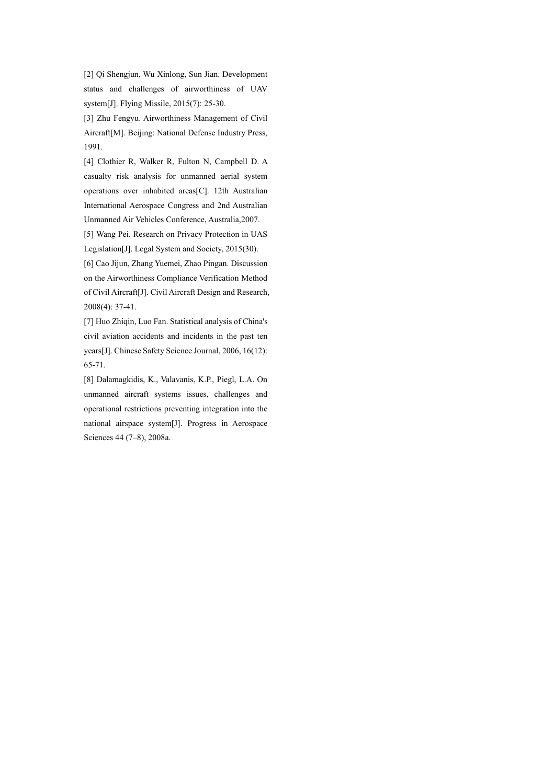[2] Qi Shengjun, Wu Xinlong, Sun Jian. Development status and challenges of airworthiness of UAV system[J]. Flying Missile, 2015(7): 25-30.

[3] Zhu Fengyu. Airworthiness Management of Civil Aircraft[M]. Beijing: National Defense Industry Press, 1991.

[4] Clothier R, Walker R, Fulton N, Campbell D. A casualty risk analysis for unmanned aerial system operations over inhabited areas[C]. 12th Australian International Aerospace Congress and 2nd Australian Unmanned Air Vehicles Conference, Australia,2007.

[5] Wang Pei. Research on Privacy Protection in UAS Legislation[J]. Legal System and Society, 2015(30).

[6] Cao Jijun, Zhang Yuemei, Zhao Pingan. Discussion on the Airworthiness Compliance Verification Method of Civil Aircraft[J]. Civil Aircraft Design and Research, 2008(4): 37-41.

[7] Huo Zhiqin, Luo Fan. Statistical analysis of China's civil aviation accidents and incidents in the past ten years[J]. Chinese Safety Science Journal, 2006, 16(12): 65-71.

[8] Dalamagkidis, K., Valavanis, K.P., Piegl, L.A. On unmanned aircraft systems issues, challenges and operational restrictions preventing integration into the national airspace system[J]. Progress in Aerospace Sciences 44 (7–8), 2008a.